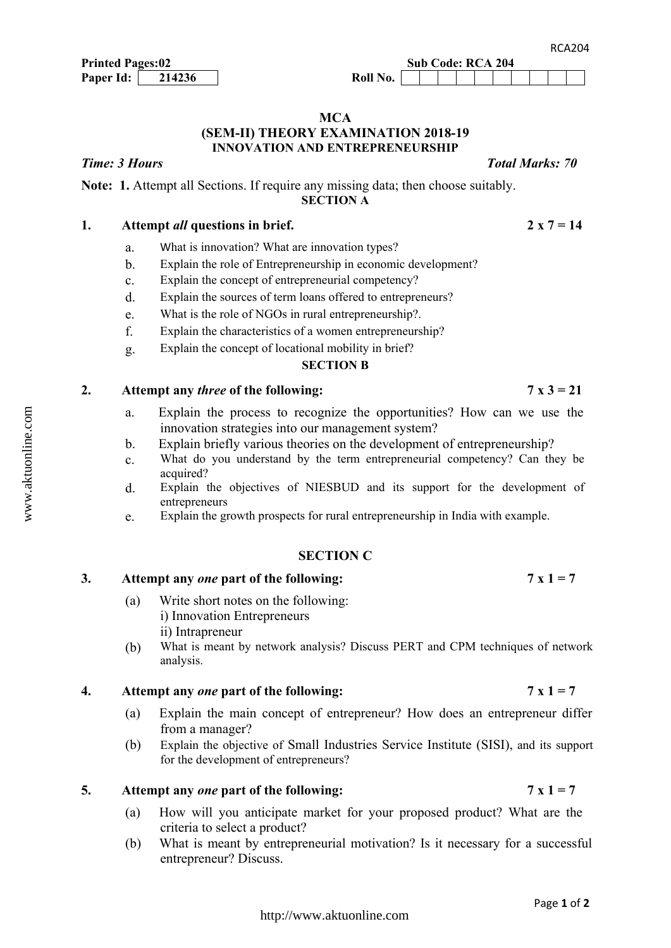### **MCA (SEM-II) THEORY EXAMINATION 2018-19 INNOVATION AND ENTREPRENEURSHIP**

**Note: 1.** Attempt all Sections. If require any missing data; then choose suitably. **SECTION A**

## 1. Attempt *all* questions in brief. 2 x  $7 = 14$

- a. What is innovation? What are innovation types?
- b. Explain the role of Entrepreneurship in economic development?
- c. Explain the concept of entrepreneurial competency?
- d. Explain the sources of term loans offered to entrepreneurs?
- e. What is the role of NGOs in rural entrepreneurship?.
- f. Explain the characteristics of a women entrepreneurship?
- g. Explain the concept of locational mobility in brief?

#### **SECTION B**

# 2. Attempt any *three* of the following:  $7 \times 3 = 21$

- a. Explain the process to recognize the opportunities? How can we use the innovation strategies into our management system?
- b. Explain briefly various theories on the development of entrepreneurship?
- c. What do you understand by the term entrepreneurial competency? Can they be acquired?
- d. Explain the objectives of NIESBUD and its support for the development of entrepreneurs
- e. Explain the growth prospects for rural entrepreneurship in India with example.

#### **SECTION C**

# 3. Attempt any *one* part of the following:  $7 \times 1 = 7$

- (a) Write short notes on the following: i) Innovation Entrepreneurs ii) Intrapreneur
- (b) What is meant by network analysis? Discuss PERT and CPM techniques of network analysis.

### **4.** Attempt any *one* part of the following:  $7 \times 1 = 7$

- (a) Explain the main concept of entrepreneur? How does an entrepreneur differ from a manager?
- (b) Explain the objective of Small Industries Service Institute (SISI), and its support for the development of entrepreneurs?

#### **5.** Attempt any *one* part of the following:  $7 \times 1 = 7$

- (a) How will you anticipate market for your proposed product? What are the criteria to select a product?
- (b) What is meant by entrepreneurial motivation? Is it necessary for a successful entrepreneur? Discuss.

*Time: 3 Hours Total Marks: 70*